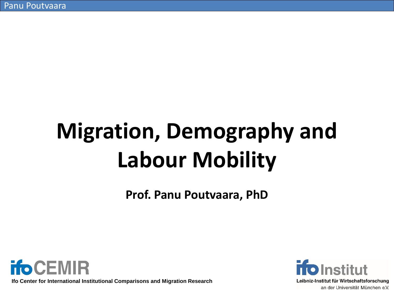# **Migration, Demography and Labour Mobility**

**Prof. Panu Poutvaara, PhD**



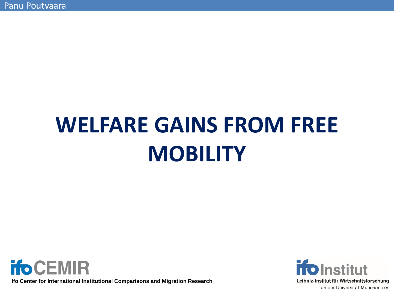# **WELFARE GAINS FROM FREE MOBILITY**



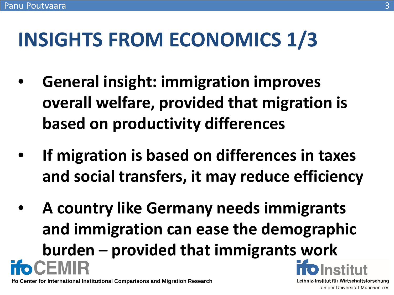# **INSIGHTS FROM ECONOMICS 1/3**

- **General insight: immigration improves overall welfare, provided that migration is based on productivity differences**
- **If migration is based on differences in taxes and social transfers, it may reduce efficiency**
- **A country like Germany needs immigrants and immigration can ease the demographic burden – provided that immigrants work**  CEMIR

**Ifo Center for International Institutional Comparisons and Migration Research**

Leibniz-Institut für Wirtschaftsforschung an der Universität München e.V.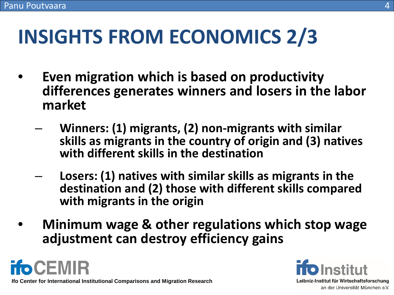# **INSIGHTS FROM ECONOMICS 2/3**

- **Even migration which is based on productivity differences generates winners and losers in the labor market**
	- **Winners: (1) migrants, (2) non-migrants with similar skills as migrants in the country of origin and (3) natives with different skills in the destination**
	- **Losers: (1) natives with similar skills as migrants in the destination and (2) those with different skills compared with migrants in the origin**
- **Minimum wage & other regulations which stop wage adjustment can destroy efficiency gains**



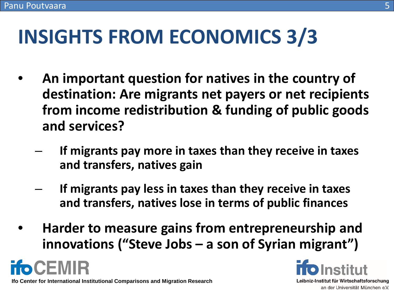# **INSIGHTS FROM ECONOMICS 3/3**

- **An important question for natives in the country of destination: Are migrants net payers or net recipients from income redistribution & funding of public goods and services?**
	- **If migrants pay more in taxes than they receive in taxes and transfers, natives gain**
	- **If migrants pay less in taxes than they receive in taxes and transfers, natives lose in terms of public finances**
- **Harder to measure gains from entrepreneurship and innovations ("Steve Jobs – a son of Syrian migrant")**



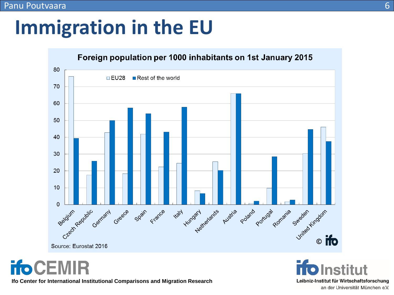## **Immigration in the EU**



**ifoCEMIR** 

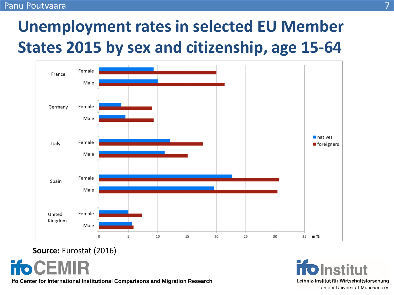#### Panu Poutvaara

#### **Unemployment rates in selected EU Member States 2015 by sex and citizenship, age 15-64**



#### **Source:** Eurostat (2016)

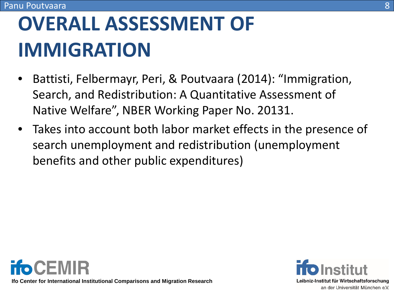# **OVERALL ASSESSMENT OF IMMIGRATION**

- Battisti, Felbermayr, Peri, & Poutvaara (2014): "Immigration, Search, and Redistribution: A Quantitative Assessment of Native Welfare", NBER Working Paper No. 20131.
- Takes into account both labor market effects in the presence of search unemployment and redistribution (unemployment benefits and other public expenditures)



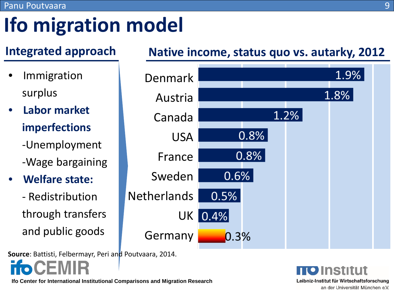# **Ifo migration model**

- **Immigration** surplus
- **Labor market imperfections** -Unemployment -Wage bargaining
- **Welfare state:** 
	- Redistribution through transfers and public goods

**Source**: Battisti, Felbermayr, Peri and Poutvaara, 2014.

**Ifo Center for International Institutional Comparisons and Migration Research**

#### **Integrated approach Native income, status quo vs. autarky, 2012**



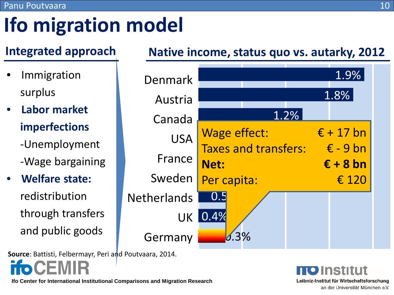# **Ifo migration model**

**Immigration** surplus

#### • **Labor market imperfections** -Unemployment -Wage bargaining

• **Welfare state:**  redistribution through transfers and public goods

**Source**: Battisti, Felbermayr, Peri and Poutvaara, 2014.

#### **Ifo Center for International Institutional Comparisons and Migration Research**

#### **Integrated approach Native income, status quo vs. autarky, 2012**



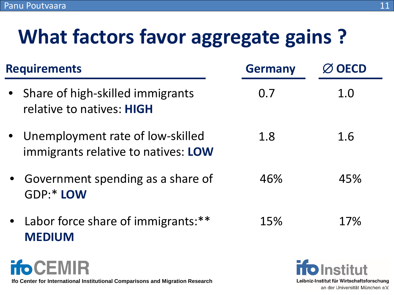# **What factors favor aggregate gains ?**

| <b>Requirements</b> |                                                                         | <b>Germany</b> | <b>OECD</b> |
|---------------------|-------------------------------------------------------------------------|----------------|-------------|
|                     | • Share of high-skilled immigrants<br>relative to natives: HIGH         | 0.7            | 1.0         |
|                     | Unemployment rate of low-skilled<br>immigrants relative to natives: LOW | 1.8            | 1.6         |
|                     | Government spending as a share of<br>GDP:* LOW                          | 46%            | 45%         |
|                     | Labor force share of immigrants:**<br><b>MEDIUM</b>                     | 15%            | 17%         |
|                     |                                                                         |                |             |

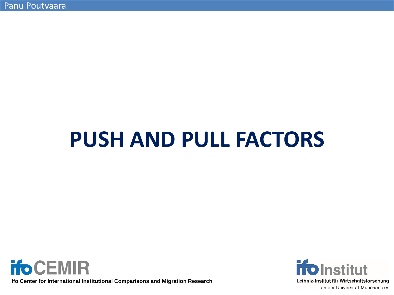# **PUSH AND PULL FACTORS**



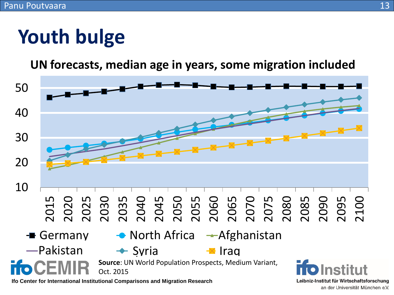# **Youth bulge**

**UN forecasts, median age in years, some migration included**



an der Universität München e.V.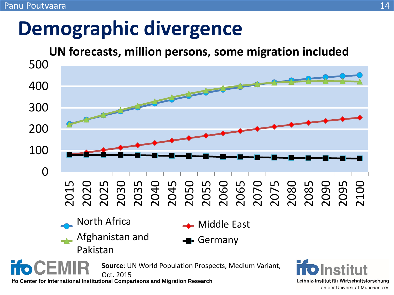### **Demographic divergence**

#### **UN forecasts, million persons, some migration included**



an der Universität München e.V.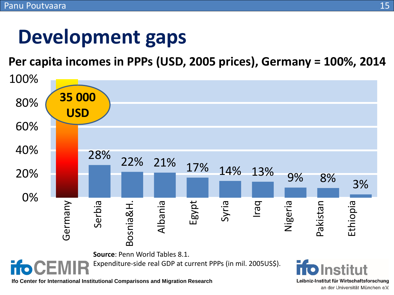### **Development gaps**

**Per capita incomes in PPPs (USD, 2005 prices), Germany = 100%, 2014**

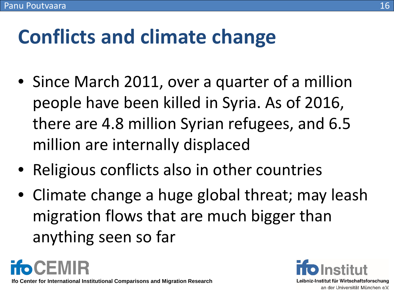# **Conflicts and climate change**

- Since March 2011, over a quarter of a million people have been killed in Syria. As of 2016, there are 4.8 million Syrian refugees, and 6.5 million are internally displaced
- Religious conflicts also in other countries
- Climate change a huge global threat; may leash migration flows that are much bigger than anything seen so far

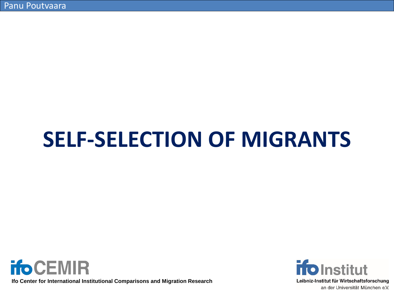# **SELF-SELECTION OF MIGRANTS**



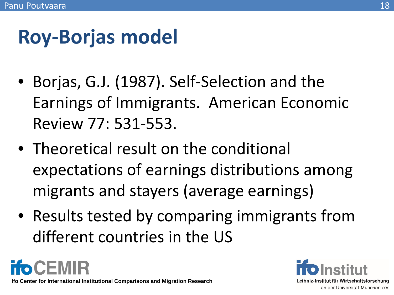#### 18

# **Roy-Borjas model**

- Borjas, G.J. (1987). Self-Selection and the Earnings of Immigrants. American Economic Review 77: 531-553.
- Theoretical result on the conditional expectations of earnings distributions among migrants and stayers (average earnings)
- Results tested by comparing immigrants from different countries in the US

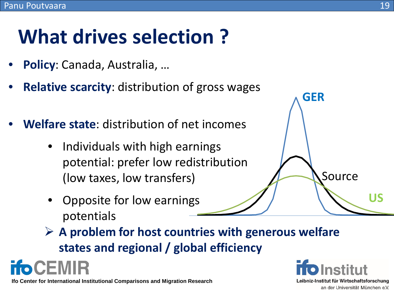# **What drives selection ?**

- **Policy**: Canada, Australia, …
- **Relative scarcity:** distribution of gross wages
- **Welfare state**: distribution of net incomes
	- Individuals with high earnings potential: prefer low redistribution (low taxes, low transfers)
	- Opposite for low earnings potentials
	- **A problem for host countries with generous welfare states and regional / global efficiency**



CEMIR



Source

**GER**

**US**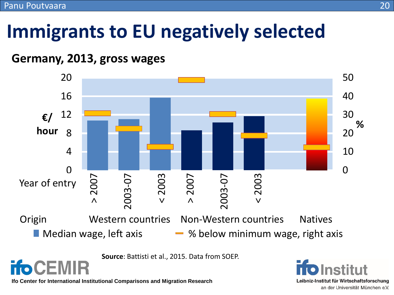### **Immigrants to EU negatively selected**

#### **Germany, 2013, gross wages**



**Source**: Battisti et al., 2015. Data from SOEP.

**Ifo Center for International Institutional Comparisons and Migration Research**

**ifoCEMIR** 

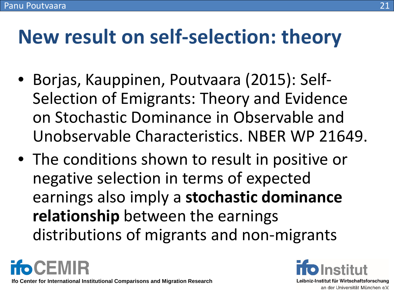### **New result on self-selection: theory**

- Borjas, Kauppinen, Poutvaara (2015): Self-Selection of Emigrants: Theory and Evidence on Stochastic Dominance in Observable and Unobservable Characteristics. NBER WP 21649.
- The conditions shown to result in positive or negative selection in terms of expected earnings also imply a **stochastic dominance relationship** between the earnings distributions of migrants and non-migrants

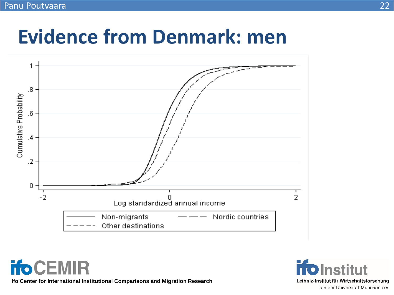### **Evidence from Denmark: men**



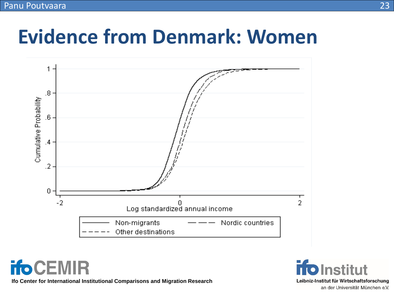

### **Evidence from Denmark: Women**



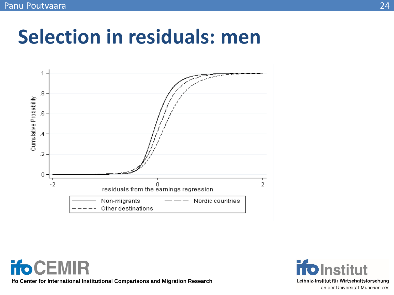#### **Selection in residuals: men**



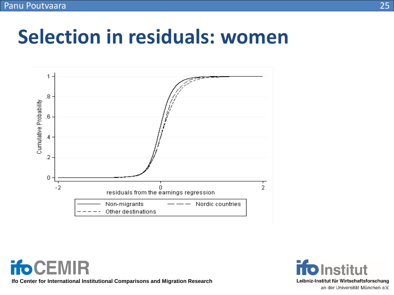### **Selection in residuals: women**



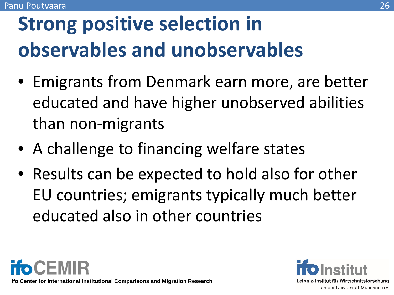# **Strong positive selection in observables and unobservables**

- Emigrants from Denmark earn more, are better educated and have higher unobserved abilities than non-migrants
- A challenge to financing welfare states
- Results can be expected to hold also for other EU countries; emigrants typically much better educated also in other countries

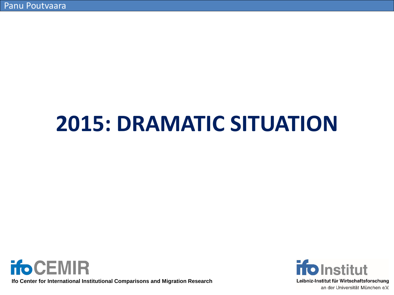# **2015: DRAMATIC SITUATION**



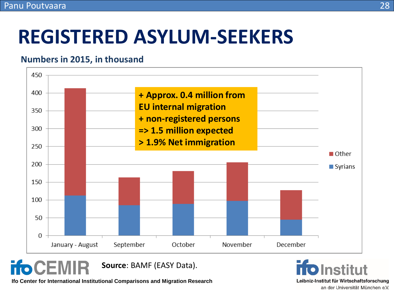### **REGISTERED ASYLUM-SEEKERS**

#### **Numbers in 2015, in thousand**



**ifo CEI Source**: BAMF (EASY Data).

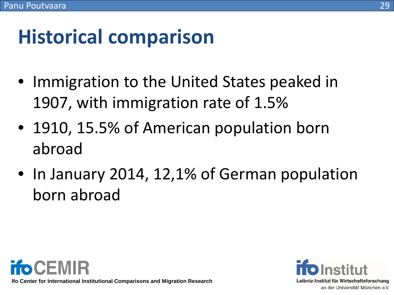### **Historical comparison**

- Immigration to the United States peaked in 1907, with immigration rate of 1.5%
- 1910, 15.5% of American population born abroad
- In January 2014, 12,1% of German population born abroad



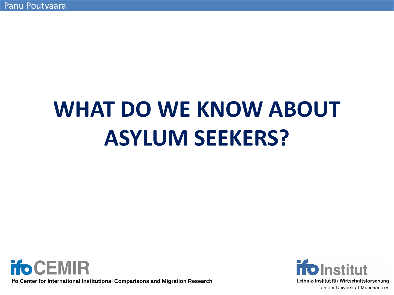# **WHAT DO WE KNOW ABOUT ASYLUM SEEKERS?**



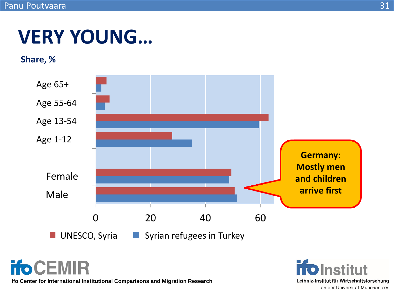### **VERY YOUNG…**

#### **Share, %**



**ifoCEMIR** 

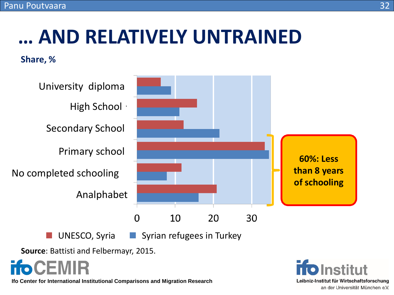# **… AND RELATIVELY UNTRAINED**

#### **Share, %**





**Source**: Battisti and Felbermayr, 2015.

CEMIR

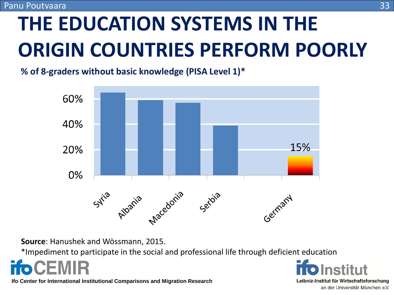# **THE EDUCATION SYSTEMS IN THE ORIGIN COUNTRIES PERFORM POORLY**

**% of 8-graders without basic knowledge (PISA Level 1)\***



**Source**: Hanushek and Wössmann, 2015.

\*Impediment to participate in the social and professional life through deficient education



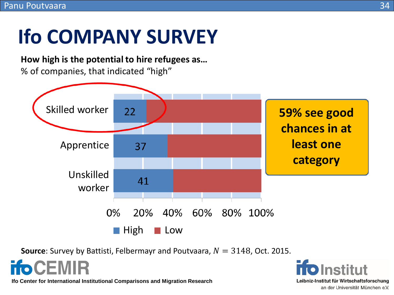# **Ifo COMPANY SURVEY**

**How high is the potential to hire refugees as…** % of companies, that indicated "high"



**Source**: Survey by Battisti, Felbermayr and Poutvaara,  $N = 3148$ , Oct. 2015.



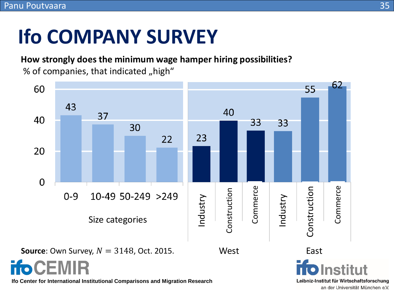# **Ifo COMPANY SURVEY**

**How strongly does the minimum wage hamper hiring possibilities?** % of companies, that indicated "high"



an der Universität München e.V.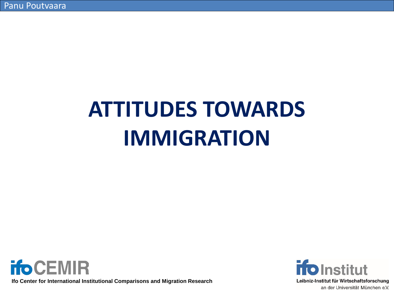# **ATTITUDES TOWARDS IMMIGRATION**



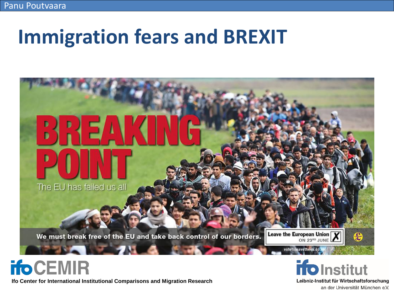### **Immigration fears and BREXIT**



#### **ifoCEMIR**

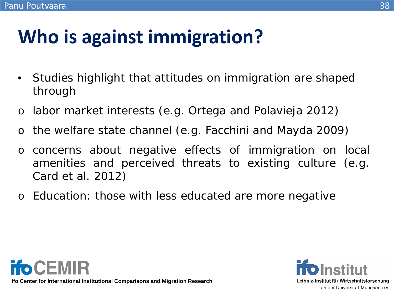# **Who is against immigration?**

- Studies highlight that attitudes on immigration are shaped through
- o labor market interests (e.g. Ortega and Polavieja 2012)
- o the welfare state channel (e.g. Facchini and Mayda 2009)
- o concerns about negative effects of immigration on local amenities and perceived threats to existing culture (e.g. Card et al. 2012)
- o Education: those with less educated are more negative



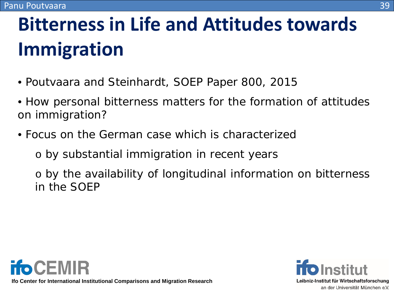# **Bitterness in Life and Attitudes towards Immigration**

- Poutvaara and Steinhardt, SOEP Paper 800, 2015
- How personal bitterness matters for the formation of attitudes on immigration?
- Focus on the German case which is characterized
	- o by substantial immigration in recent years

o by the availability of longitudinal information on bitterness in the SOEP



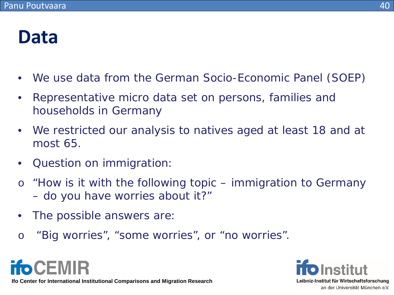#### **Data**

- We use data from the German Socio-Economic Panel (SOEP)
- Representative micro data set on persons, families and households in Germany
- We restricted our analysis to natives aged at least 18 and at most 65.
- Question on immigration:
- o "How is it with the following topic immigration to Germany – do you have worries about it?"
- The possible answers are:
- o "Big worries", "some worries", or "no worries".



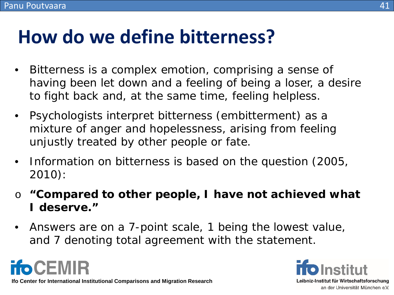#### **How do we define bitterness?**

- Bitterness is a complex emotion, comprising a sense of having been let down and a feeling of being a loser, a desire to fight back and, at the same time, feeling helpless.
- Psychologists interpret bitterness (embitterment) as a mixture of anger and hopelessness, arising from feeling unjustly treated by other people or fate.
- Information on bitterness is based on the question (2005, 2010):
- o **"Compared to other people, I have not achieved what I deserve."**
- Answers are on a 7-point scale, 1 being the lowest value, and 7 denoting total agreement with the statement.



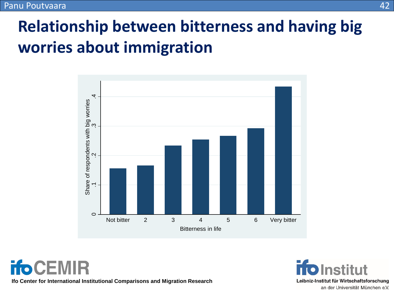#### **Relationship between bitterness and having big worries about immigration**



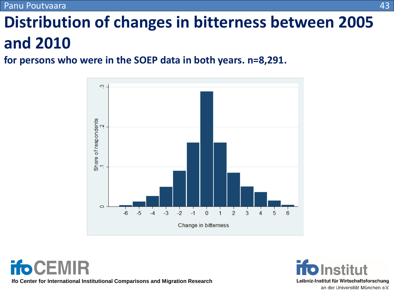Panu Poutvaara

#### **Distribution of changes in bitterness between 2005 and 2010**

**for persons who were in the SOEP data in both years. n=8,291.**



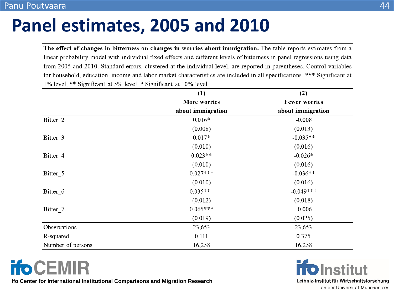#### Panu Poutvaara

#### **Panel estimates, 2005 and 2010**

The effect of changes in bitterness on changes in worries about immigration. The table reports estimates from a linear probability model with individual fixed effects and different levels of bitterness in panel regressions using data from 2005 and 2010. Standard errors, clustered at the individual level, are reported in parentheses. Control variables for household, education, income and labor market characteristics are included in all specifications. \*\*\* Significant at 1% level, \*\* Significant at 5% level, \* Significant at 10% level.

|                   | (1)                 | (2)                  |  |
|-------------------|---------------------|----------------------|--|
|                   | <b>More worries</b> | <b>Fewer worries</b> |  |
|                   | about immigration   | about immigration    |  |
| Bitter 2          | $0.016*$            | $-0.008$             |  |
|                   | (0.008)             | (0.013)              |  |
| Bitter 3          | $0.017*$            | $-0.035**$           |  |
|                   | (0.010)             | (0.016)              |  |
| Bitter 4          | $0.023**$           | $-0.026*$            |  |
|                   | (0.010)             | (0.016)              |  |
| Bitter 5          | $0.027***$          | $-0.036**$           |  |
|                   | (0.010)             | (0.016)              |  |
| Bitter 6          | $0.035***$          | $-0.049***$          |  |
|                   | (0.012)             | (0.018)              |  |
| Bitter 7          | $0.065***$          | $-0.006$             |  |
|                   | (0.019)             | (0.025)              |  |
| Observations      | 23,653              | 23,653               |  |
| R-squared         | 0.111               | 0.375                |  |
| Number of persons | 16,258              | 16,258               |  |

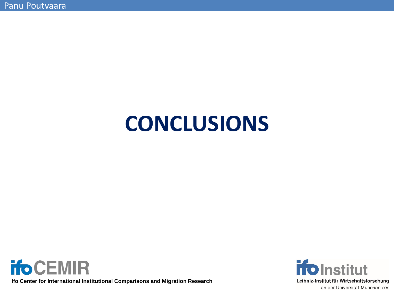# **CONCLUSIONS**



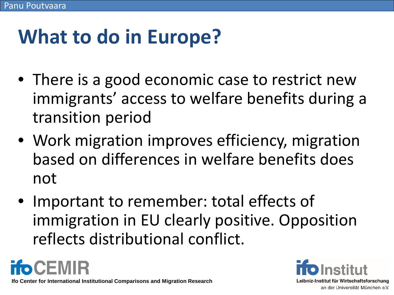# **What to do in Europe?**

- There is a good economic case to restrict new immigrants' access to welfare benefits during a transition period
- Work migration improves efficiency, migration based on differences in welfare benefits does not
- Important to remember: total effects of immigration in EU clearly positive. Opposition reflects distributional conflict.

**ifoCEMIR** 

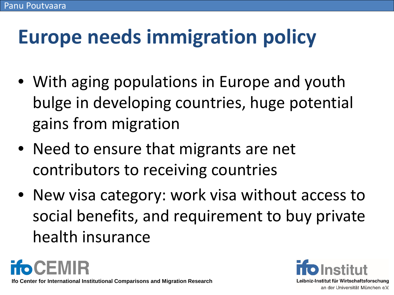# **Europe needs immigration policy**

- With aging populations in Europe and youth bulge in developing countries, huge potential gains from migration
- Need to ensure that migrants are net contributors to receiving countries
- New visa category: work visa without access to social benefits, and requirement to buy private health insurance

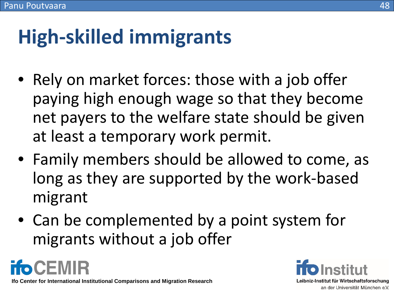#### 48

# **High-skilled immigrants**

- Rely on market forces: those with a job offer paying high enough wage so that they become net payers to the welfare state should be given at least a temporary work permit.
- Family members should be allowed to come, as long as they are supported by the work-based migrant
- Can be complemented by a point system for migrants without a job offer

**ifoCEMIR**